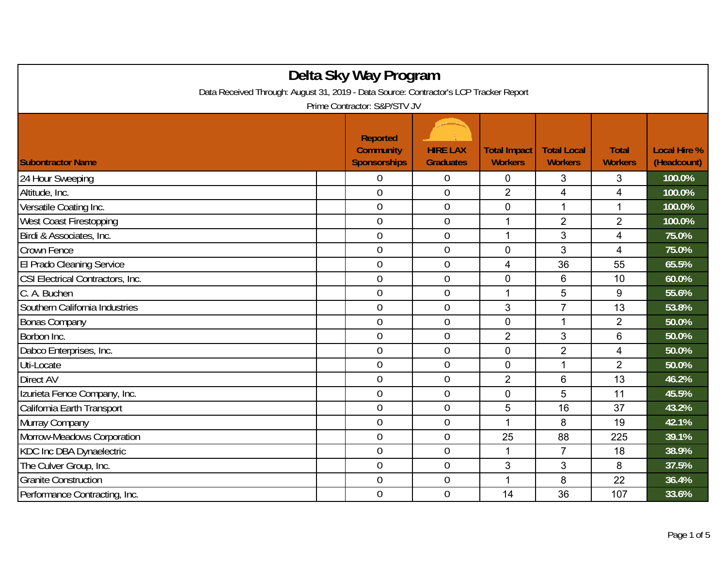| Delta Sky Way Program                                                                 |  |                                                            |                                     |                                       |                                      |                                |                                    |  |
|---------------------------------------------------------------------------------------|--|------------------------------------------------------------|-------------------------------------|---------------------------------------|--------------------------------------|--------------------------------|------------------------------------|--|
| Data Received Through: August 31, 2019 - Data Source: Contractor's LCP Tracker Report |  |                                                            |                                     |                                       |                                      |                                |                                    |  |
| Prime Contractor: S&P/STV JV                                                          |  |                                                            |                                     |                                       |                                      |                                |                                    |  |
| <b>Subontractor Name</b>                                                              |  | <b>Reported</b><br><b>Community</b><br><b>Sponsorships</b> | <b>HIRE LAX</b><br><b>Graduates</b> | <b>Total Impact</b><br><b>Workers</b> | <b>Total Local</b><br><b>Workers</b> | <b>Total</b><br><b>Workers</b> | <b>Local Hire %</b><br>(Headcount) |  |
| 24 Hour Sweeping                                                                      |  | 0                                                          | 0                                   | $\mathbf 0$                           | 3                                    | 3                              | 100.0%                             |  |
| Altitude, Inc.                                                                        |  | $\overline{0}$                                             | $\boldsymbol{0}$                    | $\overline{2}$                        | $\overline{\mathbf{4}}$              | 4                              | 100.0%                             |  |
| Versatile Coating Inc.                                                                |  | $\overline{0}$                                             | $\boldsymbol{0}$                    | $\mathbf 0$                           | $\mathbf{1}$                         | $\mathbf{1}$                   | 100.0%                             |  |
| <b>West Coast Firestopping</b>                                                        |  | $\overline{0}$                                             | $\overline{0}$                      | 1                                     | $\overline{2}$                       | $\overline{2}$                 | 100.0%                             |  |
| Birdi & Associates, Inc.                                                              |  | $\overline{0}$                                             | $\boldsymbol{0}$                    | 1                                     | 3                                    | 4                              | 75.0%                              |  |
| Crown Fence                                                                           |  | $\overline{0}$                                             | $\overline{0}$                      | $\overline{0}$                        | 3                                    | $\overline{4}$                 | 75.0%                              |  |
| El Prado Cleaning Service                                                             |  | $\mathbf 0$                                                | $\mathbf 0$                         | 4                                     | 36                                   | 55                             | 65.5%                              |  |
| CSI Electrical Contractors, Inc.                                                      |  | $\overline{0}$                                             | $\overline{0}$                      | $\overline{0}$                        | 6                                    | 10                             | 60.0%                              |  |
| C. A. Buchen                                                                          |  | $\overline{0}$                                             | $\mathbf 0$                         | 1                                     | 5                                    | 9                              | 55.6%                              |  |
| Southern California Industries                                                        |  | $\overline{0}$                                             | $\boldsymbol{0}$                    | 3                                     | $\overline{7}$                       | 13                             | 53.8%                              |  |
| <b>Bonas Company</b>                                                                  |  | $\overline{0}$                                             | $\boldsymbol{0}$                    | $\mathbf 0$                           | $\mathbf{1}$                         | $\overline{2}$                 | 50.0%                              |  |
| Borbon Inc.                                                                           |  | $\overline{0}$                                             | $\mathbf 0$                         | $\overline{2}$                        | 3                                    | 6                              | 50.0%                              |  |
| Dabco Enterprises, Inc.                                                               |  | $\overline{0}$                                             | $\boldsymbol{0}$                    | $\Omega$                              | $\overline{2}$                       | 4                              | 50.0%                              |  |
| Uti-Locate                                                                            |  | $\mathbf 0$                                                | $\mathbf 0$                         | $\overline{0}$                        | 1                                    | $\overline{2}$                 | 50.0%                              |  |
| Direct AV                                                                             |  | $\overline{0}$                                             | $\mathbf 0$                         | $\overline{2}$                        | 6                                    | 13                             | 46.2%                              |  |
| Izurieta Fence Company, Inc.                                                          |  | $\mathbf 0$                                                | $\theta$                            | $\overline{0}$                        | 5                                    | 11                             | 45.5%                              |  |
| California Earth Transport                                                            |  | $\overline{0}$                                             | $\overline{0}$                      | 5                                     | 16                                   | 37                             | 43.2%                              |  |
| Murray Company                                                                        |  | $\overline{0}$                                             | $\boldsymbol{0}$                    |                                       | 8                                    | 19                             | 42.1%                              |  |
| Morrow-Meadows Corporation                                                            |  | $\overline{0}$                                             | $\boldsymbol{0}$                    | 25                                    | 88                                   | 225                            | 39.1%                              |  |
| KDC Inc DBA Dynaelectric                                                              |  | $\boldsymbol{0}$                                           | $\boldsymbol{0}$                    | 1                                     | $\overline{7}$                       | 18                             | 38.9%                              |  |
| The Culver Group, Inc.                                                                |  | $\overline{0}$                                             | $\overline{0}$                      | $\mathfrak{S}$                        | 3                                    | 8                              | 37.5%                              |  |
| <b>Granite Construction</b>                                                           |  | $\mathbf 0$                                                | $\overline{0}$                      | 1                                     | 8                                    | 22                             | 36.4%                              |  |
| Performance Contracting, Inc.                                                         |  | $\overline{0}$                                             | $\mathbf 0$                         | 14                                    | 36                                   | 107                            | 33.6%                              |  |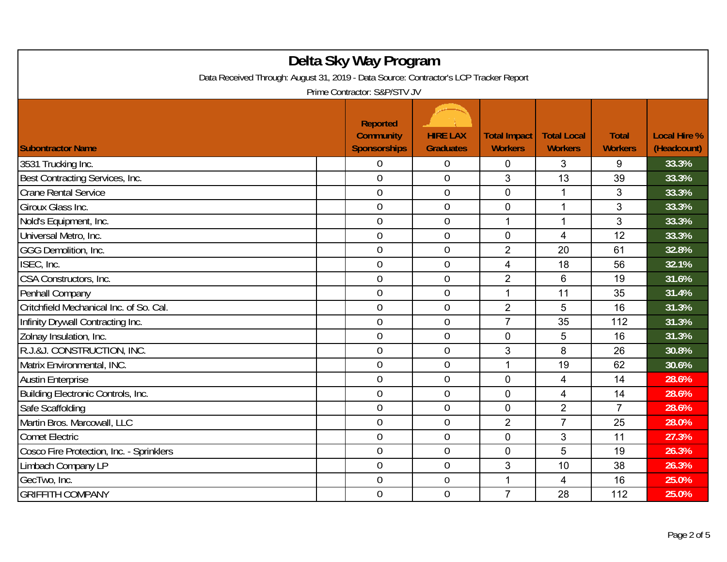| Delta Sky Way Program<br>Data Received Through: August 31, 2019 - Data Source: Contractor's LCP Tracker Report<br>Prime Contractor: S&P/STV JV |  |                                                            |                                     |                                       |                                      |                                |                                    |  |
|------------------------------------------------------------------------------------------------------------------------------------------------|--|------------------------------------------------------------|-------------------------------------|---------------------------------------|--------------------------------------|--------------------------------|------------------------------------|--|
| <b>Subontractor Name</b>                                                                                                                       |  | <b>Reported</b><br><b>Community</b><br><b>Sponsorships</b> | <b>HIRE LAX</b><br><b>Graduates</b> | <b>Total Impact</b><br><b>Workers</b> | <b>Total Local</b><br><b>Workers</b> | <b>Total</b><br><b>Workers</b> | <b>Local Hire %</b><br>(Headcount) |  |
| 3531 Trucking Inc.                                                                                                                             |  | 0                                                          | $\overline{0}$                      | 0                                     | 3                                    | 9                              | 33.3%                              |  |
| Best Contracting Services, Inc.                                                                                                                |  | $\overline{0}$                                             | $\overline{0}$                      | 3                                     | 13                                   | 39                             | 33.3%                              |  |
| <b>Crane Rental Service</b>                                                                                                                    |  | $\overline{0}$                                             | $\boldsymbol{0}$                    | $\overline{0}$                        | 1                                    | 3                              | 33.3%                              |  |
| Giroux Glass Inc.                                                                                                                              |  | $\overline{0}$                                             | $\mathbf 0$                         | $\overline{0}$                        | 1                                    | 3                              | 33.3%                              |  |
| Nold's Equipment, Inc.                                                                                                                         |  | $\overline{0}$                                             | $\overline{0}$                      | 1                                     | 1                                    | 3                              | 33.3%                              |  |
| Universal Metro, Inc.                                                                                                                          |  | $\overline{0}$                                             | $\boldsymbol{0}$                    | $\mathbf 0$                           | $\overline{\mathbf{4}}$              | 12                             | 33.3%                              |  |
| GGG Demolition, Inc.                                                                                                                           |  | $\overline{0}$                                             | $\mathbf 0$                         | $\overline{2}$                        | 20                                   | 61                             | 32.8%                              |  |
| ISEC, Inc.                                                                                                                                     |  | $\overline{0}$                                             | $\mathbf 0$                         | 4                                     | 18                                   | 56                             | 32.1%                              |  |
| CSA Constructors, Inc.                                                                                                                         |  | $\boldsymbol{0}$                                           | $\boldsymbol{0}$                    | $\overline{2}$                        | $6\phantom{1}6$                      | 19                             | 31.6%                              |  |
| Penhall Company                                                                                                                                |  | $\mathbf 0$                                                | $\mathbf 0$                         | $\mathbf{1}$                          | 11                                   | 35                             | 31.4%                              |  |
| Critchfield Mechanical Inc. of So. Cal.                                                                                                        |  | $\overline{0}$                                             | $\mathbf 0$                         | $\overline{2}$                        | 5                                    | 16                             | 31.3%                              |  |
| Infinity Drywall Contracting Inc.                                                                                                              |  | $\overline{0}$                                             | $\mathbf 0$                         | $\overline{7}$                        | 35                                   | 112                            | 31.3%                              |  |
| Zolnay Insulation, Inc.                                                                                                                        |  | $\overline{0}$                                             | $\mathbf 0$                         | $\overline{0}$                        | 5                                    | 16                             | 31.3%                              |  |
| R.J.&J. CONSTRUCTION, INC.                                                                                                                     |  | $\overline{0}$                                             | $\boldsymbol{0}$                    | 3                                     | 8                                    | 26                             | 30.8%                              |  |
| Matrix Environmental, INC.                                                                                                                     |  | $\mathbf 0$                                                | $\boldsymbol{0}$                    | 1                                     | 19                                   | 62                             | 30.6%                              |  |
| <b>Austin Enterprise</b>                                                                                                                       |  | $\overline{0}$                                             | $\mathbf 0$                         | $\mathbf 0$                           | 4                                    | 14                             | 28.6%                              |  |
| Building Electronic Controls, Inc.                                                                                                             |  | $\boldsymbol{0}$                                           | $\mathbf 0$                         | $\overline{0}$                        | $\overline{4}$                       | 14                             | 28.6%                              |  |
| Safe Scaffolding                                                                                                                               |  | $\overline{0}$                                             | $\mathbf 0$                         | $\overline{0}$                        | $\overline{2}$                       | $\overline{7}$                 | 28.6%                              |  |
| Martin Bros. Marcowall, LLC                                                                                                                    |  | $\overline{0}$                                             | $\overline{0}$                      | $\overline{2}$                        | $\overline{7}$                       | 25                             | 28.0%                              |  |
| <b>Comet Electric</b>                                                                                                                          |  | $\boldsymbol{0}$                                           | $\boldsymbol{0}$                    | $\mathbf 0$                           | 3                                    | 11                             | 27.3%                              |  |
| Cosco Fire Protection, Inc. - Sprinklers                                                                                                       |  | $\mathbf 0$                                                | $\boldsymbol{0}$                    | $\mathbf 0$                           | 5                                    | 19                             | 26.3%                              |  |
| Limbach Company LP                                                                                                                             |  | $\overline{0}$                                             | $\mathbf 0$                         | 3                                     | 10                                   | 38                             | 26.3%                              |  |
| GecTwo, Inc.                                                                                                                                   |  | $\boldsymbol{0}$                                           | $\boldsymbol{0}$                    | 1                                     | 4                                    | 16                             | 25.0%                              |  |
| <b>GRIFFITH COMPANY</b>                                                                                                                        |  | 0                                                          | $\overline{0}$                      | $\overline{7}$                        | 28                                   | 112                            | 25.0%                              |  |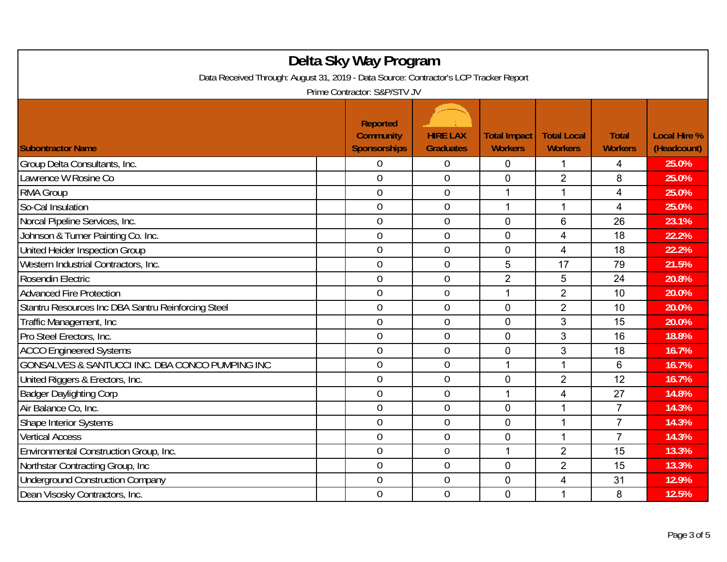| Delta Sky Way Program<br>Data Received Through: August 31, 2019 - Data Source: Contractor's LCP Tracker Report<br>Prime Contractor: S&P/STV JV |                                                            |                                     |                                       |                                      |                                |                                    |  |
|------------------------------------------------------------------------------------------------------------------------------------------------|------------------------------------------------------------|-------------------------------------|---------------------------------------|--------------------------------------|--------------------------------|------------------------------------|--|
| <b>Subontractor Name</b>                                                                                                                       | <b>Reported</b><br><b>Community</b><br><b>Sponsorships</b> | <b>HIRE LAX</b><br><b>Graduates</b> | <b>Total Impact</b><br><b>Workers</b> | <b>Total Local</b><br><b>Workers</b> | <b>Total</b><br><b>Workers</b> | <b>Local Hire %</b><br>(Headcount) |  |
| Group Delta Consultants, Inc.                                                                                                                  | 0                                                          | $\boldsymbol{0}$                    | 0                                     | 1                                    | 4                              | 25.0%                              |  |
| Lawrence W Rosine Co                                                                                                                           | 0                                                          | $\overline{0}$                      | 0                                     | $\overline{2}$                       | 8                              | 25.0%                              |  |
| <b>RMA Group</b>                                                                                                                               | $\overline{0}$                                             | $\boldsymbol{0}$                    | 1                                     | 1                                    | 4                              | 25.0%                              |  |
| So-Cal Insulation                                                                                                                              | $\overline{0}$                                             | $\mathbf 0$                         | 1                                     | 1                                    | 4                              | 25.0%                              |  |
| Norcal Pipeline Services, Inc.                                                                                                                 | $\overline{0}$                                             | $\overline{0}$                      | 0                                     | 6                                    | 26                             | 23.1%                              |  |
| Johnson & Turner Painting Co. Inc.                                                                                                             | $\boldsymbol{0}$                                           | $\boldsymbol{0}$                    | 0                                     | 4                                    | 18                             | 22.2%                              |  |
| United Heider Inspection Group                                                                                                                 | $\mathbf 0$                                                | $\mathbf{0}$                        | $\overline{0}$                        | 4                                    | 18                             | 22.2%                              |  |
| Western Industrial Contractors, Inc.                                                                                                           | $\overline{0}$                                             | $\mathbf 0$                         | 5                                     | 17                                   | 79                             | 21.5%                              |  |
| Rosendin Electric                                                                                                                              | 0                                                          | $\boldsymbol{0}$                    | $\overline{2}$                        | 5                                    | 24                             | 20.8%                              |  |
| <b>Advanced Fire Protection</b>                                                                                                                | $\overline{0}$                                             | $\mathbf 0$                         | $\mathbf{1}$                          | $\overline{2}$                       | 10                             | 20.0%                              |  |
| Stantru Resources Inc DBA Santru Reinforcing Steel                                                                                             | $\overline{0}$                                             | $\mathbf 0$                         | 0                                     | $\overline{2}$                       | 10                             | 20.0%                              |  |
| Traffic Management, Inc.                                                                                                                       | $\overline{0}$                                             | $\mathbf{0}$                        | 0                                     | 3                                    | 15                             | 20.0%                              |  |
| Pro Steel Erectors, Inc.                                                                                                                       | $\overline{0}$                                             | $\mathbf 0$                         | $\overline{0}$                        | 3                                    | 16                             | 18.8%                              |  |
| <b>ACCO Engineered Systems</b>                                                                                                                 | $\overline{0}$                                             | $\mathbf 0$                         | $\overline{0}$                        | 3                                    | 18                             | 16.7%                              |  |
| GONSALVES & SANTUCCI INC. DBA CONCO PUMPING INC                                                                                                | $\overline{0}$                                             | $\boldsymbol{0}$                    | 1                                     | 1                                    | 6                              | 16.7%                              |  |
| United Riggers & Erectors, Inc.                                                                                                                | $\overline{0}$                                             | $\mathbf 0$                         | 0                                     | $\overline{2}$                       | 12                             | 16.7%                              |  |
| <b>Badger Daylighting Corp</b>                                                                                                                 | $\overline{0}$                                             | $\mathbf 0$                         | 1                                     | 4                                    | 27                             | 14.8%                              |  |
| Air Balance Co, Inc.                                                                                                                           | $\overline{0}$                                             | $\mathbf 0$                         | $\overline{0}$                        | 1                                    | $\overline{7}$                 | 14.3%                              |  |
| Shape Interior Systems                                                                                                                         | $\overline{0}$                                             | $\overline{0}$                      | 0                                     | 1                                    | $\overline{7}$                 | 14.3%                              |  |
| <b>Vertical Access</b>                                                                                                                         | $\overline{0}$                                             | $\mathbf 0$                         | $\overline{0}$                        | 1                                    | $\overline{7}$                 | 14.3%                              |  |
| Environmental Construction Group, Inc.                                                                                                         | $\mathbf 0$                                                | $\boldsymbol{0}$                    | 1                                     | $\overline{2}$                       | 15                             | 13.3%                              |  |
| Northstar Contracting Group, Inc                                                                                                               | $\overline{0}$                                             | $\mathbf 0$                         | 0                                     | $\overline{2}$                       | 15                             | 13.3%                              |  |
| <b>Underground Construction Company</b>                                                                                                        | $\overline{0}$                                             | $\mathbf 0$                         | 0                                     | 4                                    | 31                             | 12.9%                              |  |
| Dean Visosky Contractors, Inc.                                                                                                                 | $\overline{0}$                                             | $\overline{0}$                      | 0                                     | 1                                    | 8                              | 12.5%                              |  |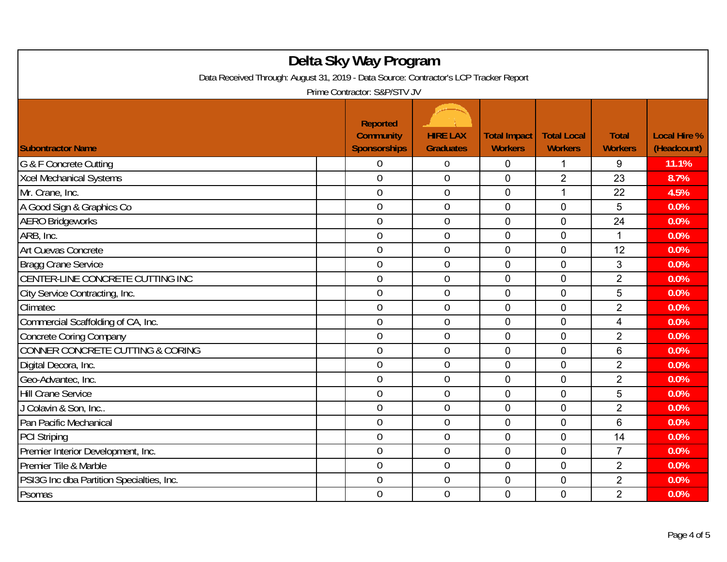| Delta Sky Way Program<br>Data Received Through: August 31, 2019 - Data Source: Contractor's LCP Tracker Report<br>Prime Contractor: S&P/STV JV |                                                            |                                     |                                       |                                      |                                |                                    |  |  |
|------------------------------------------------------------------------------------------------------------------------------------------------|------------------------------------------------------------|-------------------------------------|---------------------------------------|--------------------------------------|--------------------------------|------------------------------------|--|--|
| <b>Subontractor Name</b>                                                                                                                       | <b>Reported</b><br><b>Community</b><br><b>Sponsorships</b> | <b>HIRE LAX</b><br><b>Graduates</b> | <b>Total Impact</b><br><b>Workers</b> | <b>Total Local</b><br><b>Workers</b> | <b>Total</b><br><b>Workers</b> | <b>Local Hire %</b><br>(Headcount) |  |  |
| G & F Concrete Cutting                                                                                                                         | 0                                                          | $\overline{0}$                      | 0                                     | 1                                    | 9                              | 11.1%                              |  |  |
| Xcel Mechanical Systems                                                                                                                        | $\overline{0}$                                             | $\overline{0}$                      | $\mathbf 0$                           | $\overline{2}$                       | 23                             | 8.7%                               |  |  |
| Mr. Crane, Inc.                                                                                                                                | $\mathbf 0$                                                | $\boldsymbol{0}$                    | $\overline{0}$                        | $\mathbf{1}$                         | 22                             | 4.5%                               |  |  |
| A Good Sign & Graphics Co                                                                                                                      | $\mathbf 0$                                                | $\boldsymbol{0}$                    | $\mathbf 0$                           | 0                                    | 5                              | 0.0%                               |  |  |
| <b>AERO Bridgeworks</b>                                                                                                                        | $\overline{0}$                                             | $\mathbf 0$                         | $\mathbf 0$                           | 0                                    | 24                             | 0.0%                               |  |  |
| ARB, Inc.                                                                                                                                      | $\mathbf 0$                                                | $\mathbf 0$                         | $\overline{0}$                        | $\mathbf 0$                          | $\mathbf{1}$                   | 0.0%                               |  |  |
| <b>Art Cuevas Concrete</b>                                                                                                                     | $\overline{0}$                                             | $\overline{0}$                      | $\mathbf 0$                           | $\mathbf 0$                          | 12                             | 0.0%                               |  |  |
| Bragg Crane Service                                                                                                                            | $\overline{0}$                                             | $\mathbf 0$                         | $\mathbf 0$                           | 0                                    | 3                              | 0.0%                               |  |  |
| CENTER-LINE CONCRETE CUTTING INC                                                                                                               | $\overline{0}$                                             | $\boldsymbol{0}$                    | $\overline{0}$                        | $\mathbf 0$                          | $\overline{2}$                 | 0.0%                               |  |  |
| City Service Contracting, Inc.                                                                                                                 | $\mathbf 0$                                                | $\mathbf 0$                         | $\mathbf 0$                           | $\mathbf 0$                          | 5                              | 0.0%                               |  |  |
| Climatec                                                                                                                                       | $\overline{0}$                                             | $\mathbf 0$                         | $\mathbf 0$                           | 0                                    | $\overline{2}$                 | 0.0%                               |  |  |
| Commercial Scaffolding of CA, Inc.                                                                                                             | $\overline{0}$                                             | $\boldsymbol{0}$                    | $\overline{0}$                        | $\overline{0}$                       | 4                              | 0.0%                               |  |  |
| <b>Concrete Coring Company</b>                                                                                                                 | $\overline{0}$                                             | $\overline{0}$                      | $\mathbf 0$                           | 0                                    | $\overline{2}$                 | 0.0%                               |  |  |
| <b>CONNER CONCRETE CUTTING &amp; CORING</b>                                                                                                    | $\overline{0}$                                             | $\mathbf 0$                         | $\overline{0}$                        | 0                                    | 6                              | 0.0%                               |  |  |
| Digital Decora, Inc.                                                                                                                           | $\overline{0}$                                             | $\mathbf 0$                         | $\overline{0}$                        | $\mathbf 0$                          | $\overline{2}$                 | 0.0%                               |  |  |
| Geo-Advantec, Inc.                                                                                                                             | $\mathbf 0$                                                | $\mathbf 0$                         | $\mathbf 0$                           | 0                                    | $\overline{2}$                 | 0.0%                               |  |  |
| <b>Hill Crane Service</b>                                                                                                                      | $\overline{0}$                                             | $\mathbf 0$                         | $\mathbf 0$                           | 0                                    | 5                              | 0.0%                               |  |  |
| J Colavin & Son, Inc                                                                                                                           | $\overline{0}$                                             | $\mathbf 0$                         | $\mathbf 0$                           | $\mathbf 0$                          | $\overline{2}$                 | 0.0%                               |  |  |
| Pan Pacific Mechanical                                                                                                                         | $\overline{0}$                                             | $\overline{0}$                      | $\overline{0}$                        | 0                                    | 6                              | 0.0%                               |  |  |
| <b>PCI Striping</b>                                                                                                                            | $\overline{0}$                                             | $\mathbf 0$                         | $\overline{0}$                        | 0                                    | 14                             | 0.0%                               |  |  |
| Premier Interior Development, Inc.                                                                                                             | $\boldsymbol{0}$                                           | $\boldsymbol{0}$                    | 0                                     | 0                                    | 7                              | 0.0%                               |  |  |
| Premier Tile & Marble                                                                                                                          | $\overline{0}$                                             | $\mathbf 0$                         | $\overline{0}$                        | 0                                    | $\overline{2}$                 | 0.0%                               |  |  |
| PSI3G Inc dba Partition Specialties, Inc.                                                                                                      | $\overline{0}$                                             | $\mathbf 0$                         | $\mathbf 0$                           | 0                                    | $\overline{2}$                 | 0.0%                               |  |  |
| Psomas                                                                                                                                         | $\mathbf 0$                                                | $\mathbf 0$                         | $\mathbf 0$                           | 0                                    | $\overline{2}$                 | 0.0%                               |  |  |